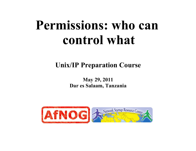# **Permissions: who can control what**

#### **Unix/IP Preparation Course**

**May 29, 2011 Dar es Salaam, Tanzania** 

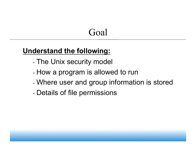### Goal

#### **Understand the following:**

- The Unix security model
- How a program is allowed to run
- Where user and group information is stored
- Details of file permissions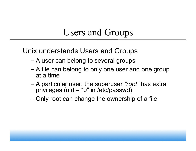#### Users and Groups

Unix understands Users and Groups

- A user can belong to several groups
- A file can belong to only one user and one group at a time
- A particular user, the superuser *"root"* has extra privileges (uid = "0" in /etc/passwd)
- Only root can change the ownership of a file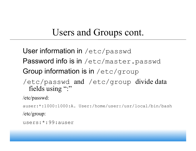## Users and Groups cont.

User information in /etc/passwd

- Password info is in /etc/master.passwd
- Group information is in /etc/group
- /etc/passwd and /etc/group divide data fields using ":"

/etc/passwd:

auser:\*:1000:1000:A. User:/home/user:/usr/local/bin/bash /etc/group:

users:\*:99:auser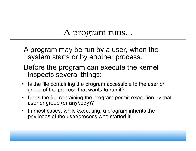## A program runs...

- A program may be run by a user, when the system starts or by another process.
- Before the program can execute the kernel inspects several things:
- Is the file containing the program accessible to the user or group of the process that wants to run it?
- Does the file containing the program permit execution by that user or group (or anybody)?
- In most cases, while executing, a program inherits the privileges of the user/process who started it.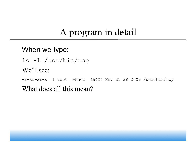## A program in detail

#### When we type:

ls -l /usr/bin/top We'll see:

-r-xr-xr-x 1 root wheel 46424 Nov 21 28 2009 /usr/bin/top

What does all this mean?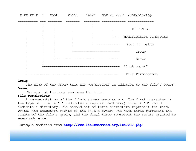

#### **Group**

The name of the group that has permissions in addition to the file's owner. **Owner** 

The name of the user who owns the file.

#### **File Permissions**

 A representation of the file's access permissions. The first character is the type of file. A "-" indicates a regular (ordinary) file. A "d" would indicate a directory. The second set of three characters represent the read, write, and execution rights of the file's owner. The next three represent the rights of the file's group, and the final three represent the rights granted to everybody else.

(Example modified from **http://www.linuxcommand.org/lts0030.php**)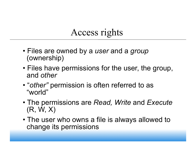## Access rights

- Files are owned by a *user* and a *group* (ownership)
- Files have permissions for the user, the group, and *other*
- "*other"* permission is often referred to as "world"
- The permissions are *Read, Write* and *Execute* (R, W, X)
- The user who owns a file is always allowed to change its permissions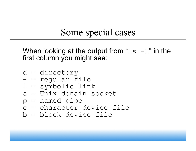## Some special cases

When looking at the output from " $\text{ls}$  -l" in the first column you might see:

d = directory - = regular file l = symbolic link s = Unix domain socket p = named pipe c = character device file b = block device file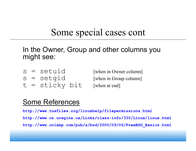#### Some special cases cont

In the Owner, Group and other columns you might see:

- 
- 
- $t =$  sticky bit [when at end]

 $s = \text{setuid}$  [when in Owner column]  $s = \text{setqid}$  [when in Group column]

#### Some References

**http://www.tuxfiles.org/linuxhelp/filepermissions.html http://www.cs.uregina.ca/Links/class-info/330/Linux/linux.html http://www.onlamp.com/pub/a/bsd/2000/09/06/FreeBSD\_Basics.html**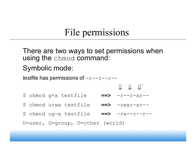## File permissions

There are two ways to set permissions when using the chmod command:

#### Symbolic mode:

*testfile* has permissions of  $-r-r-r-r-$ 

$$
\begin{array}{cccc}\n\mathbf{y} & \mathbf{y} & \mathbf{y} & \mathbf{y} \\
\mathbf{y} & \mathbf{y} & \mathbf{y} & \mathbf{y} \\
\mathbf{y} & \mathbf{y} & \mathbf{y} & \mathbf{y} & \mathbf{y} \\
\mathbf{y} & \mathbf{y} & \mathbf{y} & \mathbf{y} & \mathbf{y} \\
\mathbf{y} & \mathbf{y} & \mathbf{y} & \mathbf{y} & \mathbf{y} \\
\mathbf{y} & \mathbf{y} & \mathbf{y} & \mathbf{y} & \mathbf{y} \\
\mathbf{y} & \mathbf{y} & \mathbf{y} & \mathbf{y} & \mathbf{y} \\
\mathbf{y} & \mathbf{y} & \mathbf{y} & \mathbf{y} & \mathbf{y} \\
\mathbf{y} & \mathbf{y} & \mathbf{y} & \mathbf{y} & \mathbf{y} \\
\mathbf{y} & \mathbf{y} & \mathbf{y} & \mathbf{y} & \mathbf{y} \\
\mathbf{y} & \mathbf{y} & \mathbf{y} & \mathbf{y} & \mathbf{y} \\
\mathbf{y} & \mathbf{y} & \mathbf{y} & \mathbf{y} & \mathbf{y} \\
\mathbf{y} & \mathbf{y} & \mathbf{y} & \mathbf{y} & \mathbf{y} \\
\mathbf{y} & \mathbf{y} & \mathbf{y} & \mathbf{y} & \mathbf{y} \\
\mathbf{y} & \mathbf{y} & \mathbf{y} & \mathbf{y} & \mathbf{y} \\
\mathbf{y} & \mathbf{y} & \mathbf{y} & \mathbf{y} & \mathbf{y} \\
\mathbf{y} & \mathbf{y} & \mathbf{y} & \mathbf{y} & \mathbf{y} \\
\mathbf{y} & \mathbf{y} & \mathbf{y} & \mathbf{y} & \mathbf{y} \\
\mathbf{y} & \mathbf{y} & \mathbf{y} & \mathbf{y} & \mathbf{y} \\
\mathbf{y} & \mathbf{y} & \mathbf{y} & \mathbf{y} & \mathbf{y} \\
\mathbf{y} & \mathbf{y} & \mathbf{y} & \mathbf{y} & \mathbf{y} \\
\mathbf{y} & \mathbf{y} & \mathbf{y} & \mathbf{y} & \mathbf
$$

- \$ chmod u+wx testfile **==>** -rwxr-xr--
- \$ chmod ug-x testfile **==>** -rw--r--r--

U=user, G=group, O=other (world)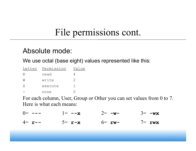## File permissions cont.

#### Absolute mode:

We use octal (base eight) values represented like this:

| Letter | Permission | Value |
|--------|------------|-------|
| К      | read       |       |
| M      | write      | 2     |
| X      | execute    |       |
|        | none       |       |

For each column, User, Group or Other you can set values from 0 to 7. Here is what each means:

| $0 = - - -$ | $]= -x$                       | $2 = -w -$ | $3=-w\mathbf{x}$ |
|-------------|-------------------------------|------------|------------------|
| $4 = r -$   | $5 = \mathbf{r} - \mathbf{x}$ | $6=$ rw-   | $7=$ rwx         |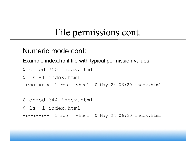## File permissions cont.

#### Numeric mode cont:

Example index.html file with typical permission values:

\$ chmod 755 index.html

\$ ls -l index.html

-rwxr-xr-x 1 root wheel 0 May 24 06:20 index.html

\$ chmod 644 index.html

\$ ls -l index.html

-rw-r--r-- 1 root wheel 0 May 24 06:20 index.html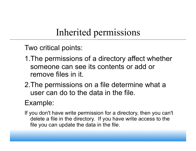## Inherited permissions

Two critical points:

- 1.The permissions of a directory affect whether someone can see its contents or add or remove files in it.
- 2.The permissions on a file determine what a user can do to the data in the file.

#### Example:

If you don't have write permission for a directory, then you can't delete a file in the directory. If you have write access to the file you can update the data in the file.